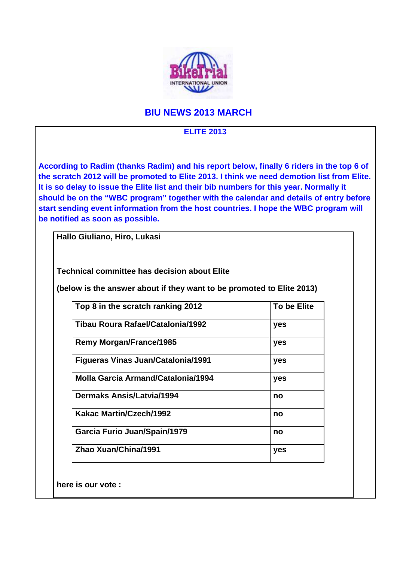

## **BIU NEWS 2013 MARCH**

## **ELITE 2013**

**According to Radim (thanks Radim) and his report below, finally 6 riders in the top 6 of the scratch 2012 will be promoted to Elite 2013. I think we need demotion list from Elite. It is so delay to issue the Elite list and their bib numbers for this year. Normally it should be on the "WBC program" together with the calendar and details of entry before start sending event information from the host countries. I hope the WBC program will be notified as soon as possible.** 

**Hallo Giuliano, Hiro, Lukasi** 

**Technical committee has decision about Elite** 

**(below is the answer about if they want to be promoted to Elite 2013)** 

| Top 8 in the scratch ranking 2012         | <b>To be Elite</b> |
|-------------------------------------------|--------------------|
| Tibau Roura Rafael/Catalonia/1992         | yes                |
| <b>Remy Morgan/France/1985</b>            | yes                |
| <b>Figueras Vinas Juan/Catalonia/1991</b> | yes                |
| Molla Garcia Armand/Catalonia/1994        | yes                |
| <b>Dermaks Ansis/Latvia/1994</b>          | no                 |
| Kakac Martin/Czech/1992                   | no                 |
| Garcia Furio Juan/Spain/1979              | no                 |
| Zhao Xuan/China/1991                      | yes                |

**here is our vote :**